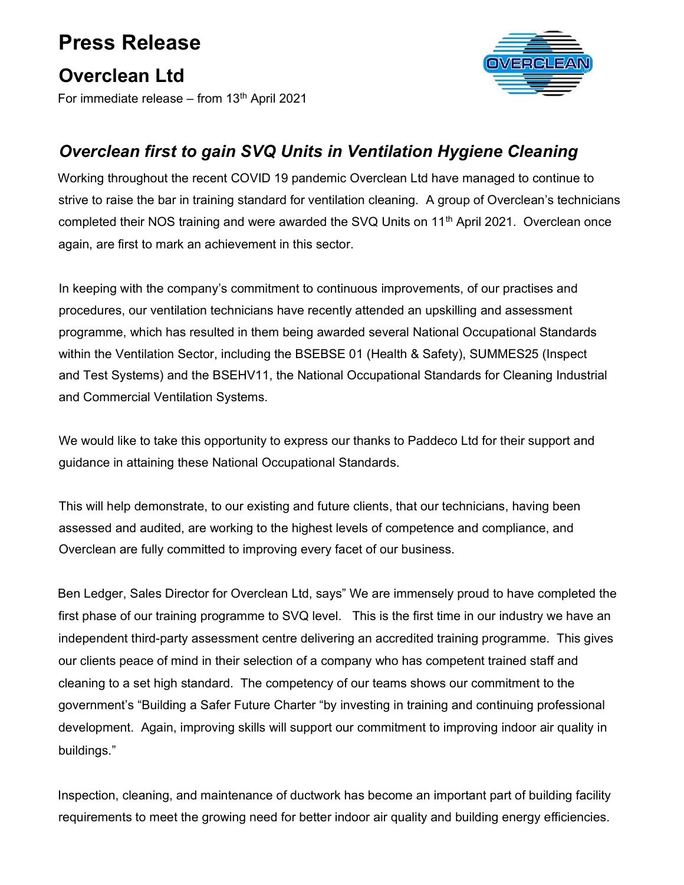## Press Release

## Overclean Ltd

For immediate release – from  $13<sup>th</sup>$  April 2021



## Overclean first to gain SVQ Units in Ventilation Hygiene Cleaning

Working throughout the recent COVID 19 pandemic Overclean Ltd have managed to continue to strive to raise the bar in training standard for ventilation cleaning. A group of Overclean's technicians completed their NOS training and were awarded the SVQ Units on 11<sup>th</sup> April 2021. Overclean once again, are first to mark an achievement in this sector.

In keeping with the company's commitment to continuous improvements, of our practises and procedures, our ventilation technicians have recently attended an upskilling and assessment programme, which has resulted in them being awarded several National Occupational Standards within the Ventilation Sector, including the BSEBSE 01 (Health & Safety), SUMMES25 (Inspect and Test Systems) and the BSEHV11, the National Occupational Standards for Cleaning Industrial and Commercial Ventilation Systems.

We would like to take this opportunity to express our thanks to Paddeco Ltd for their support and guidance in attaining these National Occupational Standards.

This will help demonstrate, to our existing and future clients, that our technicians, having been assessed and audited, are working to the highest levels of competence and compliance, and Overclean are fully committed to improving every facet of our business.

Ben Ledger, Sales Director for Overclean Ltd, says" We are immensely proud to have completed the first phase of our training programme to SVQ level. This is the first time in our industry we have an independent third-party assessment centre delivering an accredited training programme. This gives our clients peace of mind in their selection of a company who has competent trained staff and cleaning to a set high standard. The competency of our teams shows our commitment to the government's "Building a Safer Future Charter "by investing in training and continuing professional development. Again, improving skills will support our commitment to improving indoor air quality in buildings."

Inspection, cleaning, and maintenance of ductwork has become an important part of building facility requirements to meet the growing need for better indoor air quality and building energy efficiencies.